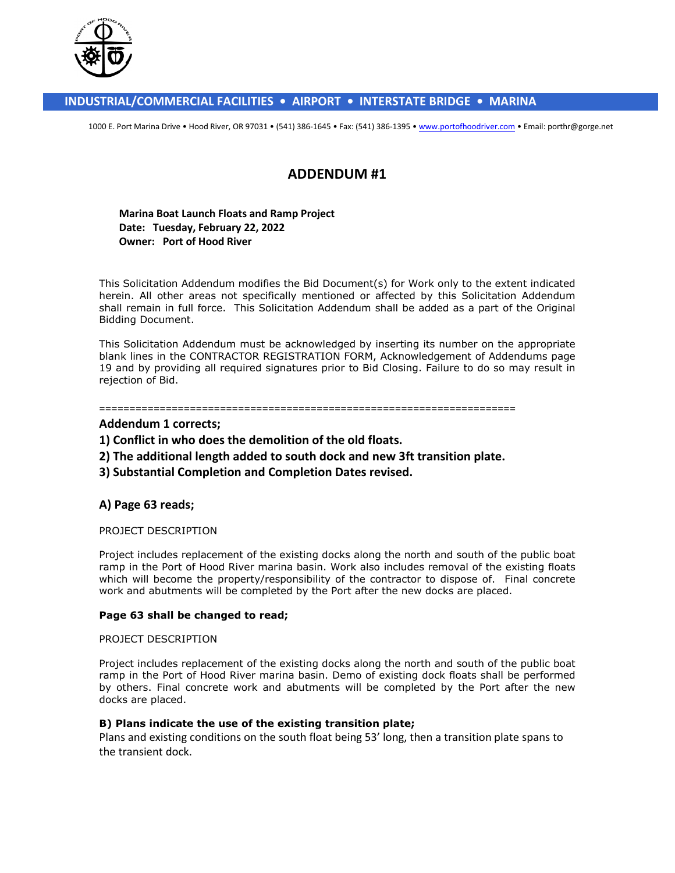

### **INDUSTRIAL/COMMERCIAL FACILITIES • AIRPORT • INTERSTATE BRIDGE • MARINA**

1000 E. Port Marina Drive . Hood River, OR 97031 . (541) 386-1645 . Fax: (541) 386-1395 . www.portofhoodriver.com . Email: porthr@gorge.net

# **ADDENDUM #1**

#### **Marina Boat Launch Floats and Ramp Project Date: Tuesday, February 22, 2022 Owner: Port of Hood River**

This Solicitation Addendum modifies the Bid Document(s) for Work only to the extent indicated herein. All other areas not specifically mentioned or affected by this Solicitation Addendum shall remain in full force. This Solicitation Addendum shall be added as a part of the Original Bidding Document.

This Solicitation Addendum must be acknowledged by inserting its number on the appropriate blank lines in the CONTRACTOR REGISTRATION FORM, Acknowledgement of Addendums page 19 and by providing all required signatures prior to Bid Closing. Failure to do so may result in rejection of Bid.

#### =====================================================================

### **Addendum 1 corrects;**

- **1) Conflict in who does the demolition of the old floats.**
- **2) The additional length added to south dock and new 3ft transition plate.**
- **3) Substantial Completion and Completion Dates revised.**

### **A) Page 63 reads;**

#### PROJECT DESCRIPTION

Project includes replacement of the existing docks along the north and south of the public boat ramp in the Port of Hood River marina basin. Work also includes removal of the existing floats which will become the property/responsibility of the contractor to dispose of. Final concrete work and abutments will be completed by the Port after the new docks are placed.

#### **Page 63 shall be changed to read;**

#### PROJECT DESCRIPTION

Project includes replacement of the existing docks along the north and south of the public boat ramp in the Port of Hood River marina basin. Demo of existing dock floats shall be performed by others. Final concrete work and abutments will be completed by the Port after the new docks are placed.

#### **B) Plans indicate the use of the existing transition plate;**

Plans and existing conditions on the south float being 53' long, then a transition plate spans to the transient dock.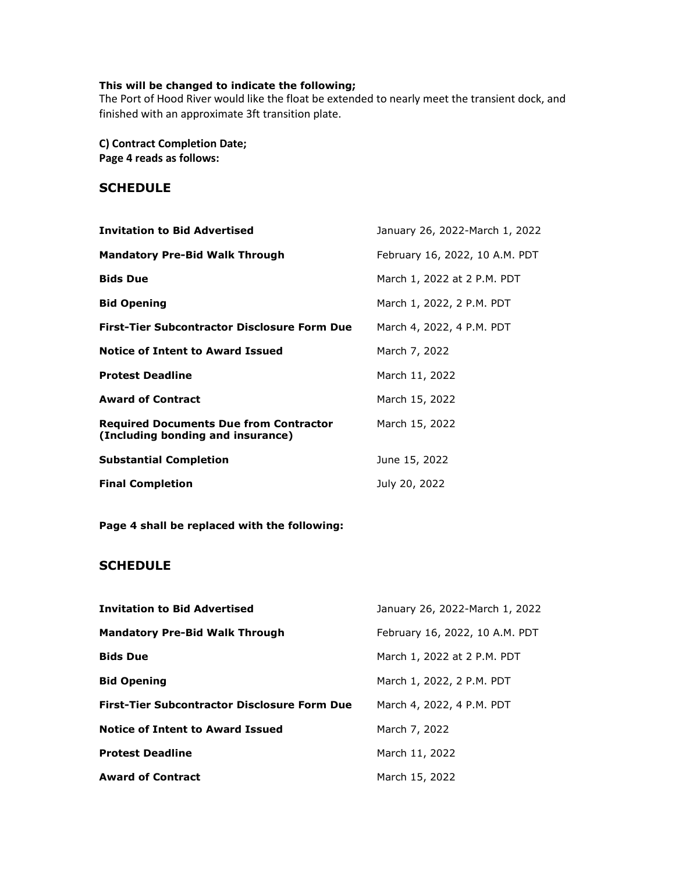## **This will be changed to indicate the following;**

The Port of Hood River would like the float be extended to nearly meet the transient dock, and finished with an approximate 3ft transition plate.

**C) Contract Completion Date; Page 4 reads as follows:** 

## **SCHEDULE**

| <b>Invitation to Bid Advertised</b>                                                | January 26, 2022-March 1, 2022 |
|------------------------------------------------------------------------------------|--------------------------------|
| <b>Mandatory Pre-Bid Walk Through</b>                                              | February 16, 2022, 10 A.M. PDT |
| <b>Bids Due</b>                                                                    | March 1, 2022 at 2 P.M. PDT    |
| <b>Bid Opening</b>                                                                 | March 1, 2022, 2 P.M. PDT      |
| <b>First-Tier Subcontractor Disclosure Form Due</b>                                | March 4, 2022, 4 P.M. PDT      |
| <b>Notice of Intent to Award Issued</b>                                            | March 7, 2022                  |
| <b>Protest Deadline</b>                                                            | March 11, 2022                 |
| <b>Award of Contract</b>                                                           | March 15, 2022                 |
| <b>Required Documents Due from Contractor</b><br>(Including bonding and insurance) | March 15, 2022                 |
| <b>Substantial Completion</b>                                                      | June 15, 2022                  |
| <b>Final Completion</b>                                                            | July 20, 2022                  |

**Page 4 shall be replaced with the following:** 

## **SCHEDULE**

| <b>Invitation to Bid Advertised</b>                 | January 26, 2022-March 1, 2022 |
|-----------------------------------------------------|--------------------------------|
| <b>Mandatory Pre-Bid Walk Through</b>               | February 16, 2022, 10 A.M. PDT |
| <b>Bids Due</b>                                     | March 1, 2022 at 2 P.M. PDT    |
| <b>Bid Opening</b>                                  | March 1, 2022, 2 P.M. PDT      |
| <b>First-Tier Subcontractor Disclosure Form Due</b> | March 4, 2022, 4 P.M. PDT      |
| <b>Notice of Intent to Award Issued</b>             | March 7, 2022                  |
| <b>Protest Deadline</b>                             | March 11, 2022                 |
| <b>Award of Contract</b>                            | March 15, 2022                 |